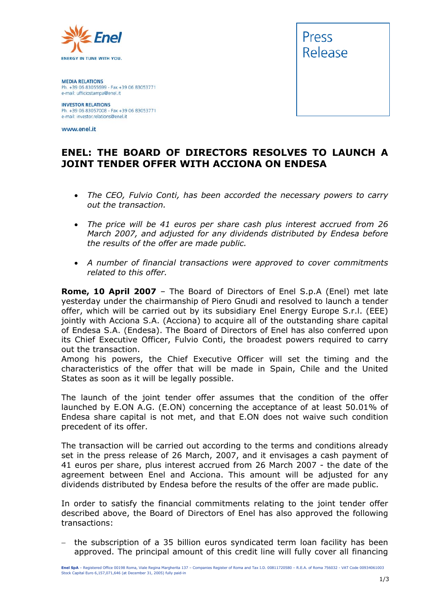

**MEDIA RELATIONS** Ph. +39 06 83055699 - Fax +39 06 83053771 e-mail: ufficiostampa@enel.it

**INVESTOR RELATIONS** Ph. +39 06 83057008 - Fax +39 06 83053771 e-mail: investor.relations@enel.it

www.enel.it



## **ENEL: THE BOARD OF DIRECTORS RESOLVES TO LAUNCH A JOINT TENDER OFFER WITH ACCIONA ON ENDESA**

- *The CEO, Fulvio Conti, has been accorded the necessary powers to carry out the transaction.*
- *The price will be 41 euros per share cash plus interest accrued from 26 March 2007, and adjusted for any dividends distributed by Endesa before the results of the offer are made public.*
- *A number of financial transactions were approved to cover commitments related to this offer.*

**Rome, 10 April 2007** – The Board of Directors of Enel S.p.A (Enel) met late yesterday under the chairmanship of Piero Gnudi and resolved to launch a tender offer, which will be carried out by its subsidiary Enel Energy Europe S.r.l. (EEE) jointly with Acciona S.A. (Acciona) to acquire all of the outstanding share capital of Endesa S.A. (Endesa). The Board of Directors of Enel has also conferred upon its Chief Executive Officer, Fulvio Conti, the broadest powers required to carry out the transaction.

Among his powers, the Chief Executive Officer will set the timing and the characteristics of the offer that will be made in Spain, Chile and the United States as soon as it will be legally possible.

The launch of the joint tender offer assumes that the condition of the offer launched by E.ON A.G. (E.ON) concerning the acceptance of at least 50.01% of Endesa share capital is not met, and that E.ON does not waive such condition precedent of its offer.

The transaction will be carried out according to the terms and conditions already set in the press release of 26 March, 2007, and it envisages a cash payment of 41 euros per share, plus interest accrued from 26 March 2007 - the date of the agreement between Enel and Acciona. This amount will be adjusted for any dividends distributed by Endesa before the results of the offer are made public.

In order to satisfy the financial commitments relating to the joint tender offer described above, the Board of Directors of Enel has also approved the following transactions:

− the subscription of a 35 billion euros syndicated term loan facility has been approved. The principal amount of this credit line will fully cover all financing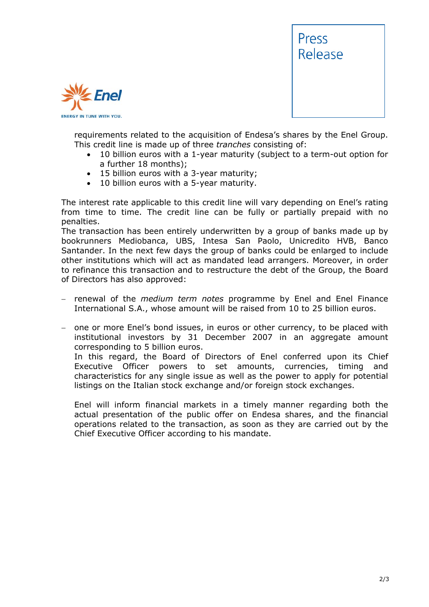



requirements related to the acquisition of Endesa's shares by the Enel Group. This credit line is made up of three *tranches* consisting of:

- 10 billion euros with a 1-year maturity (subject to a term-out option for a further 18 months);
- 15 billion euros with a 3-year maturity;
- 10 billion euros with a 5-year maturity.

The interest rate applicable to this credit line will vary depending on Enel's rating from time to time. The credit line can be fully or partially prepaid with no penalties.

The transaction has been entirely underwritten by a group of banks made up by bookrunners Mediobanca, UBS, Intesa San Paolo, Unicredito HVB, Banco Santander. In the next few days the group of banks could be enlarged to include other institutions which will act as mandated lead arrangers. Moreover, in order to refinance this transaction and to restructure the debt of the Group, the Board of Directors has also approved:

- − renewal of the *medium term notes* programme by Enel and Enel Finance International S.A., whose amount will be raised from 10 to 25 billion euros.
- − one or more Enel's bond issues, in euros or other currency, to be placed with institutional investors by 31 December 2007 in an aggregate amount corresponding to 5 billion euros.

In this regard, the Board of Directors of Enel conferred upon its Chief Executive Officer powers to set amounts, currencies, timing and characteristics for any single issue as well as the power to apply for potential listings on the Italian stock exchange and/or foreign stock exchanges.

Enel will inform financial markets in a timely manner regarding both the actual presentation of the public offer on Endesa shares, and the financial operations related to the transaction, as soon as they are carried out by the Chief Executive Officer according to his mandate.